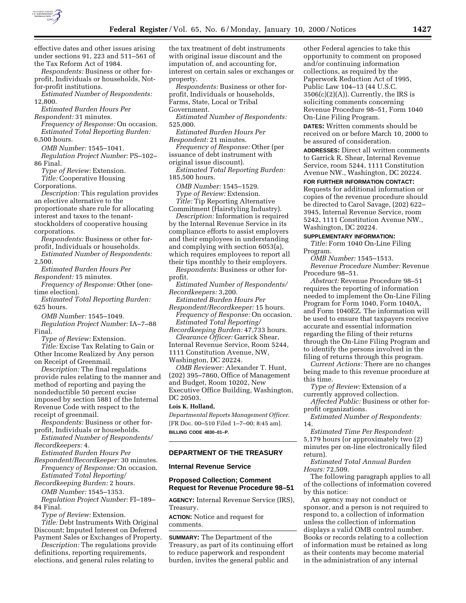

effective dates and other issues arising under sections 91, 223 and 511–561 of the Tax Reform Act of 1984.

*Respondents:* Business or other forprofit, Individuals or households, Notfor-profit institutions.

*Estimated Number of Respondents:* 12,800.

*Estimated Burden Hours Per Respondent:* 31 minutes.

*Frequency of Response:* On occasion. *Estimated Total Reporting Burden:* 6,500 hours.

*OMB Number:* 1545–1041.

*Regulation Project Number:* PS–102– 86 Final.

*Type of Review:* Extension.

*Title:* Cooperative Housing Corporations.

*Description:* This regulation provides an elective alternative to the proportionate share rule for allocating interest and taxes to the tenantstockholders of cooperative housing corporations.

*Respondents:* Business or other forprofit, Individuals or households.

*Estimated Number of Respondents:* 2,500.

*Estimated Burden Hours Per Respondent:* 15 minutes.

*Frequency of Response:* Other (onetime election).

*Estimated Total Reporting Burden:* 625 hours.

*OMB Number:* 1545–1049.

*Regulation Project Number:* IA–7–88 Final.

*Type of Review:* Extension.

*Title:* Excise Tax Relating to Gain or Other Income Realized by Any person on Receipt of Greenmail.

*Description:* The final regulations provide rules relating to the manner and method of reporting and paying the nondeductible 50 percent excise imposed by section 5881 of the Internal Revenue Code with respect to the receipt of greenmail.

*Respondents:* Business or other forprofit, Individuals or households.

*Estimated Number of Respondents/ Recordkeepers:* 4.

*Estimated Burden Hours Per Respondent/Recordkeeper:* 30 minutes. *Frequency of Response:* On occasion. *Estimated Total Reporting/*

*Recordkeeping Burden:* 2 hours. *OMB Number:* 1545–1353.

*Regulation Project Number:* FI–189– 84 Final.

*Type of Review:* Extension. *Title:* Debt Instruments With Original Discount; Imputed Interest on Deferred Payment Sales or Exchanges of Property.

*Description:* The regulations provide definitions, reporting requirements, elections, and general rules relating to

the tax treatment of debt instruments with original issue discount and the imputation of, and accounting for, interest on certain sales or exchanges or property.

*Respondents:* Business or other forprofit, Individuals or households, Farms, State, Local or Tribal

Government.

*Estimated Number of Respondents:* 525,000.

*Estimated Burden Hours Per Respondent:* 21 minutes.

*Frequency of Response:* Other (per issuance of debt instrument with original issue discount).

*Estimated Total Reporting Burden:* 185,500 hours.

*OMB Number:* 1545–1529.

*Type of Review:* Extension.

*Title:* Tip Reporting Alternative Commitment (Hairstyling Industry).

*Description:* Information is required by the Internal Revenue Service in its compliance efforts to assist employers and their employees in understanding and complying with section 6053(a), which requires employees to report all their tips monthly to their employers.

*Respondents:* Business or other forprofit.

*Estimated Number of Respondents/ Recordkeepers:* 3,200.

*Estimated Burden Hours Per*

*Respondent/Recordkeeper:* 15 hours. *Frequency of Response:* On occasion. *Estimated Total Reporting/*

*Recordkeeping Burden:* 47,733 hours.

*Clearance Officer:* Garrick Shear, Internal Revenue Service, Room 5244, 1111 Constitution Avenue, NW, Washington, DC 20224.

*OMB Reviewer:* Alexander T. Hunt, (202) 395–7860, Office of Management and Budget, Room 10202, New Executive Office Building, Washington, DC 20503.

# **Lois K. Holland,**

*Departmental Reports Management Officer.* [FR Doc. 00–510 Filed 1–7–00; 8:45 am]. **BILLING CODE 4830–01–P.**

# **DEPARTMENT OF THE TREASURY**

**Internal Revenue Service**

### **Proposed Collection; Comment Request for Revenue Procedure 98–51**

**AGENCY:** Internal Revenue Service (IRS), Treasury.

**ACTION:** Notice and request for comments.

**SUMMARY:** The Department of the Treasury, as part of its continuing effort to reduce paperwork and respondent burden, invites the general public and

other Federal agencies to take this opportunity to comment on proposed and/or continuing information collections, as required by the Paperwork Reduction Act of 1995, Public Law 104–13 (44 U.S.C.  $3506(c)(2)(A)$ . Currently, the IRS is soliciting comments concerning Revenue Procedure 98–51, Form 1040 On-Line Filing Program.

**DATES:** Written comments should be received on or before March 10, 2000 to be assured of consideration.

**ADDRESSES:** Direct all written comments to Garrick R. Shear, Internal Revenue Service, room 5244, 1111 Constitution Avenue NW., Washington, DC 20224.

**FOR FURTHER INFORMATION CONTACT:**

Requests for additional information or copies of the revenue procedure should be directed to Carol Savage, (202) 622– 3945, Internal Revenue Service, room 5242, 1111 Constitution Avenue NW., Washington, DC 20224.

#### **SUPPLEMENTARY INFORMATION:**

*Title:* Form 1040 On-Line Filing Program.

*OMB Number:* 1545–1513.

*Revenue Procedure Number:* Revenue Procedure 98–51.

*Abstract:* Revenue Procedure 98–51 requires the reporting of information needed to implement the On-Line Filing Program for Form 1040, Form 1040A, and Form 1040EZ. The information will be used to ensure that taxpayers receive accurate and essential information regarding the filing of their returns through the On-Line Filing Program and to identify the persons involved in the filing of returns through this program.

*Current Actions:* There are no changes being made to this revenue procedure at this time.

*Type of Review:* Extension of a currently approved collection.

*Affected Public:* Business or other forprofit organizations.

*Estimated Number of Respondents:* 14.

*Estimated Time Per Respondent:* 5,179 hours (or approximately two (2) minutes per on-line electronically filed return).

*Estimated Total Annual Burden Hours:* 72,509.

The following paragraph applies to all of the collections of information covered by this notice:

An agency may not conduct or sponsor, and a person is not required to respond to, a collection of information unless the collection of information displays a valid OMB control number. Books or records relating to a collection of information must be retained as long as their contents may become material in the administration of any internal